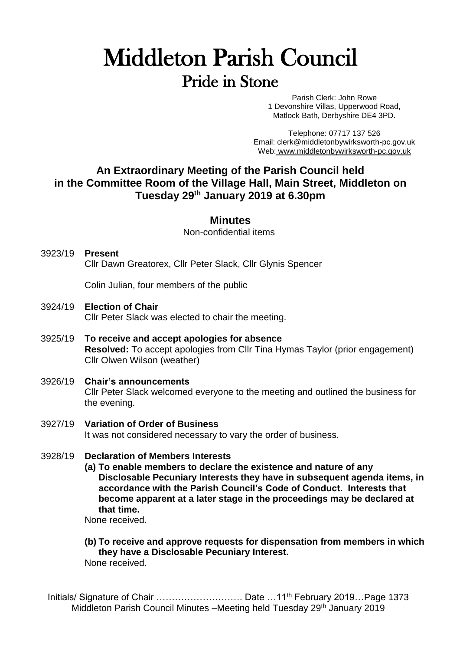# Middleton Parish Council Pride in Stone

Parish Clerk: John Rowe 1 Devonshire Villas, Upperwood Road, Matlock Bath, Derbyshire DE4 3PD.

Telephone: 07717 137 526 Email: [clerk@middletonbywirksworth-pc.gov.uk](mailto:clerk@middletonbywirksworth-pc.gov.uk) Web: [www.middletonbywirksworth-pc.gov.uk](http://www.middletonbywirksworth-pc.gov.uk/)

## **An Extraordinary Meeting of the Parish Council held in the Committee Room of the Village Hall, Main Street, Middleton on Tuesday 29th January 2019 at 6.30pm**

### **Minutes**

Non-confidential items

3923/19 **Present** Cllr Dawn Greatorex, Cllr Peter Slack, Cllr Glynis Spencer

Colin Julian, four members of the public

- 3924/19 **Election of Chair** Cllr Peter Slack was elected to chair the meeting.
- 3925/19 **To receive and accept apologies for absence Resolved:** To accept apologies from Cllr Tina Hymas Taylor (prior engagement) Cllr Olwen Wilson (weather)
- 3926/19 **Chair's announcements** Cllr Peter Slack welcomed everyone to the meeting and outlined the business for the evening.
- 3927/19 **Variation of Order of Business** It was not considered necessary to vary the order of business.
- 3928/19 **Declaration of Members Interests**
	- **(a) To enable members to declare the existence and nature of any Disclosable Pecuniary Interests they have in subsequent agenda items, in accordance with the Parish Council's Code of Conduct. Interests that become apparent at a later stage in the proceedings may be declared at that time.**

None received.

#### **(b) To receive and approve requests for dispensation from members in which they have a Disclosable Pecuniary Interest.** None received.

Initials/ Signature of Chair ……………………………………… Date …11<sup>th</sup> February 2019… Page 1373 Middleton Parish Council Minutes -Meeting held Tuesday 29<sup>th</sup> January 2019